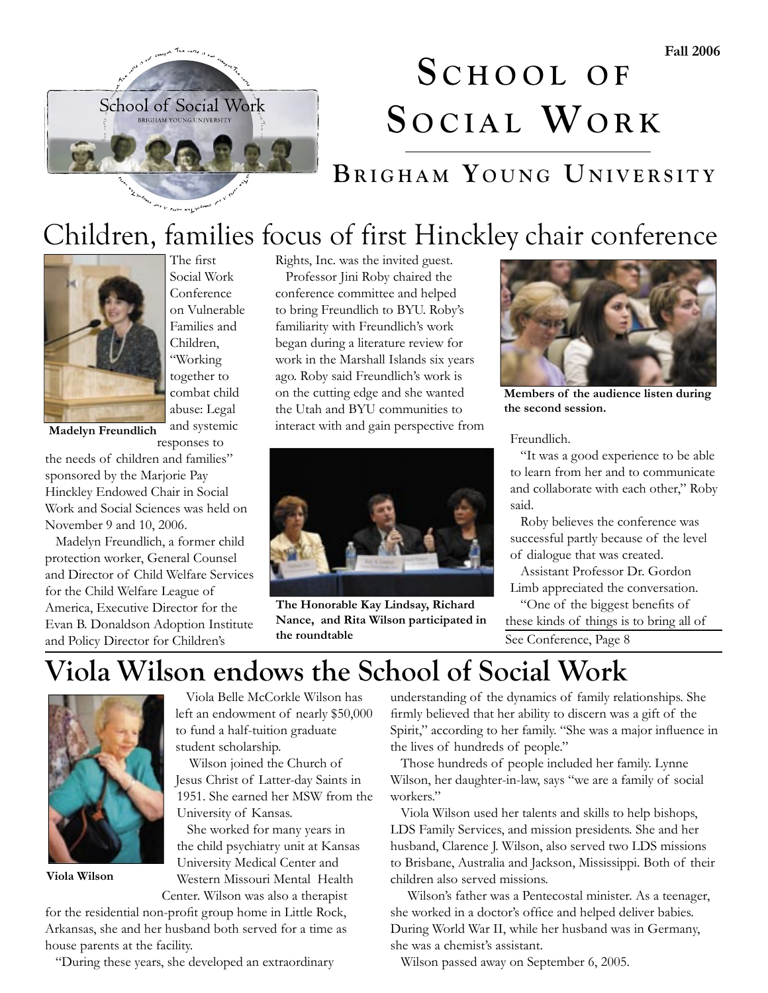

# **S C H O O L O F** SOCIAL WORK

### **B R I G H A M Y O U N G UN I V E R S I T Y**

### Children, families focus of first Hinckley chair conference



The first Social Work Conference on Vulnerable Families and Children, "Working together to combat child abuse: Legal and systemic responses to

**Madelyn Freundlich**

the needs of children and families" sponsored by the Marjorie Pay Hinckley Endowed Chair in Social Work and Social Sciences was held on November 9 and 10, 2006.

 Madelyn Freundlich, a former child protection worker, General Counsel and Director of Child Welfare Services for the Child Welfare League of America, Executive Director for the Evan B. Donaldson Adoption Institute and Policy Director for Children's

Rights, Inc. was the invited guest.

 Professor Jini Roby chaired the conference committee and helped to bring Freundlich to BYU. Roby's familiarity with Freundlich's work began during a literature review for work in the Marshall Islands six years ago. Roby said Freundlich's work is on the cutting edge and she wanted the Utah and BYU communities to interact with and gain perspective from



**The Honorable Kay Lindsay, Richard Nance, and Rita Wilson participated in the roundtable**



**Members of the audience listen during the second session.**

Freundlich.

 "It was a good experience to be able to learn from her and to communicate and collaborate with each other," Roby said.

 Roby believes the conference was successful partly because of the level of dialogue that was created.

 Assistant Professor Dr. Gordon Limb appreciated the conversation.

See Conference, Page 8 "One of the biggest benefits of these kinds of things is to bring all of

### **Viola Wilson endows the School of Social Work**



**Viola Wilson** 

 Viola Belle McCorkle Wilson has left an endowment of nearly \$50,000 to fund a half-tuition graduate student scholarship.

 Wilson joined the Church of Jesus Christ of Latter-day Saints in 1951. She earned her MSW from the University of Kansas.

 She worked for many years in the child psychiatry unit at Kansas University Medical Center and Western Missouri Mental Health Center. Wilson was also a therapist

for the residential non-profit group home in Little Rock, Arkansas, she and her husband both served for a time as house parents at the facility.

"During these years, she developed an extraordinary

understanding of the dynamics of family relationships. She firmly believed that her ability to discern was a gift of the Spirit," according to her family. "She was a major influence in the lives of hundreds of people."

 Those hundreds of people included her family. Lynne Wilson, her daughter-in-law, says "we are a family of social workers."

 Viola Wilson used her talents and skills to help bishops, LDS Family Services, and mission presidents. She and her husband, Clarence J. Wilson, also served two LDS missions to Brisbane, Australia and Jackson, Mississippi. Both of their children also served missions.

 Wilson's father was a Pentecostal minister. As a teenager, she worked in a doctor's office and helped deliver babies. During World War II, while her husband was in Germany, she was a chemist's assistant.

Wilson passed away on September 6, 2005.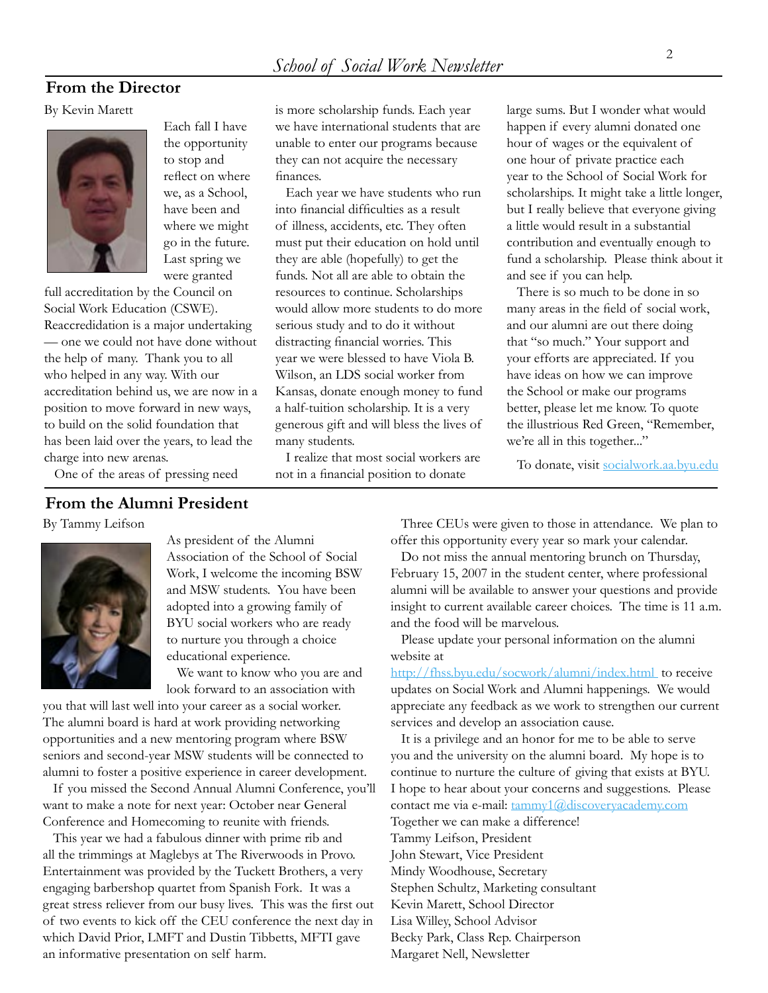#### **From the Director**

By Kevin Marett



Each fall I have the opportunity to stop and reflect on where we, as a School, have been and where we might go in the future. Last spring we were granted

full accreditation by the Council on Social Work Education (CSWE). Reaccredidation is a major undertaking — one we could not have done without the help of many. Thank you to all who helped in any way. With our accreditation behind us, we are now in a position to move forward in new ways, to build on the solid foundation that has been laid over the years, to lead the charge into new arenas.

One of the areas of pressing need

#### **From the Alumni President**

By Tammy Leifson



As president of the Alumni Association of the School of Social Work, I welcome the incoming BSW and MSW students. You have been adopted into a growing family of BYU social workers who are ready to nurture you through a choice educational experience.

 We want to know who you are and look forward to an association with

you that will last well into your career as a social worker. The alumni board is hard at work providing networking opportunities and a new mentoring program where BSW seniors and second-year MSW students will be connected to alumni to foster a positive experience in career development.

 If you missed the Second Annual Alumni Conference, you'll want to make a note for next year: October near General Conference and Homecoming to reunite with friends.

 This year we had a fabulous dinner with prime rib and all the trimmings at Maglebys at The Riverwoods in Provo. Entertainment was provided by the Tuckett Brothers, a very engaging barbershop quartet from Spanish Fork. It was a great stress reliever from our busy lives. This was the first out of two events to kick off the CEU conference the next day in which David Prior, LMFT and Dustin Tibbetts, MFTI gave an informative presentation on self harm.

is more scholarship funds. Each year we have international students that are unable to enter our programs because they can not acquire the necessary finances.

 Each year we have students who run into financial difficulties as a result of illness, accidents, etc. They often must put their education on hold until they are able (hopefully) to get the funds. Not all are able to obtain the resources to continue. Scholarships would allow more students to do more serious study and to do it without distracting financial worries. This year we were blessed to have Viola B. Wilson, an LDS social worker from Kansas, donate enough money to fund a half-tuition scholarship. It is a very generous gift and will bless the lives of many students.

 I realize that most social workers are not in a financial position to donate

large sums. But I wonder what would happen if every alumni donated one hour of wages or the equivalent of one hour of private practice each year to the School of Social Work for scholarships. It might take a little longer, but I really believe that everyone giving a little would result in a substantial contribution and eventually enough to fund a scholarship. Please think about it and see if you can help.

 There is so much to be done in so many areas in the field of social work, and our alumni are out there doing that "so much." Your support and your efforts are appreciated. If you have ideas on how we can improve the School or make our programs better, please let me know. To quote the illustrious Red Green, "Remember, we're all in this together..."

To donate, visit [socialwork.aa.byu.edu](http://alumni.byu.edu/Sections/Chapters/chaphome4.cfm?ChpID=413)

 Three CEUs were given to those in attendance. We plan to offer this opportunity every year so mark your calendar.

 Do not miss the annual mentoring brunch on Thursday, February 15, 2007 in the student center, where professional alumni will be available to answer your questions and provide insight to current available career choices. The time is 11 a.m. and the food will be marvelous.

 Please update your personal information on the alumni website at

[http://fhss.byu.edu/socwork/alumni/index.html](http://alumni.byu.edu/Sections/Chapters/chaphome4.cfm?ChpID=413) to receive updates on Social Work and Alumni happenings. We would appreciate any feedback as we work to strengthen our current services and develop an association cause.

 It is a privilege and an honor for me to be able to serve you and the university on the alumni board. My hope is to continue to nurture the culture of giving that exists at BYU. I hope to hear about your concerns and suggestions. Please contact me via e-mail: tammy1@discoveryacademy.com Together we can make a difference! Tammy Leifson, President John Stewart, Vice President Mindy Woodhouse, Secretary Stephen Schultz, Marketing consultant Kevin Marett, School Director Lisa Willey, School Advisor Becky Park, Class Rep. Chairperson Margaret Nell, Newsletter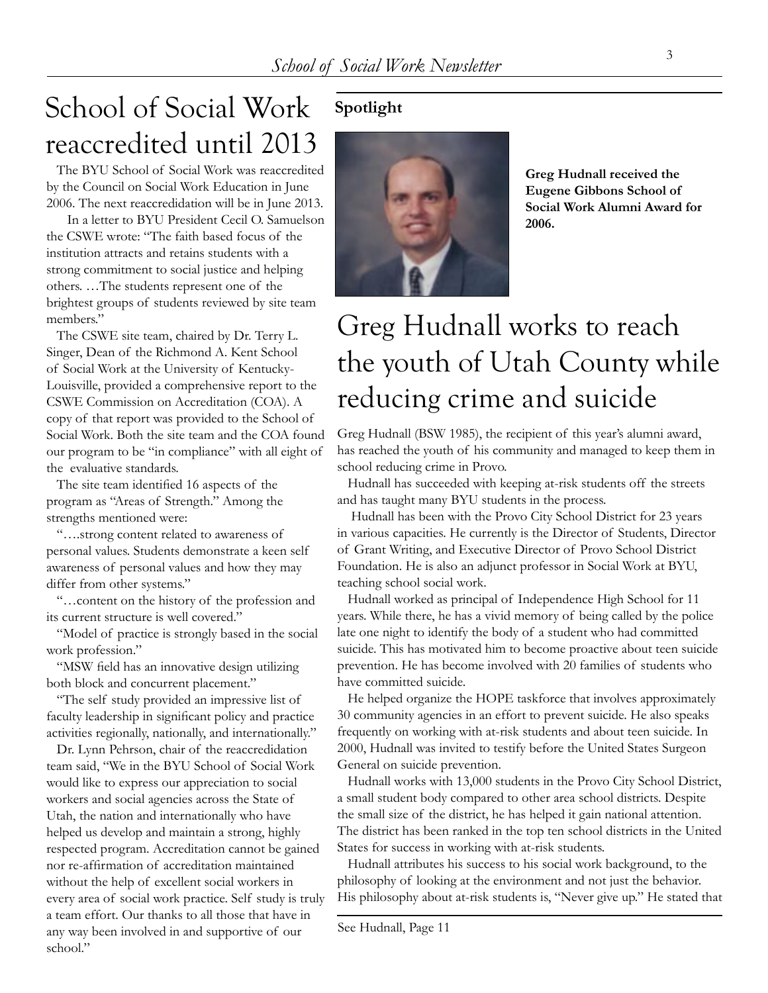## School of Social Work reaccredited until 2013

 The BYU School of Social Work was reaccredited by the Council on Social Work Education in June 2006. The next reaccredidation will be in June 2013.

 In a letter to BYU President Cecil O. Samuelson the CSWE wrote: "The faith based focus of the institution attracts and retains students with a strong commitment to social justice and helping others. …The students represent one of the brightest groups of students reviewed by site team members."

 The CSWE site team, chaired by Dr. Terry L. Singer, Dean of the Richmond A. Kent School of Social Work at the University of Kentucky-Louisville, provided a comprehensive report to the CSWE Commission on Accreditation (COA). A copy of that report was provided to the School of Social Work. Both the site team and the COA found our program to be "in compliance" with all eight of the evaluative standards.

 The site team identified 16 aspects of the program as "Areas of Strength." Among the strengths mentioned were:

 "….strong content related to awareness of personal values. Students demonstrate a keen self awareness of personal values and how they may differ from other systems."

 "…content on the history of the profession and its current structure is well covered."

 "Model of practice is strongly based in the social work profession."

 "MSW field has an innovative design utilizing both block and concurrent placement."

 "The self study provided an impressive list of faculty leadership in significant policy and practice activities regionally, nationally, and internationally."

 Dr. Lynn Pehrson, chair of the reaccredidation team said, "We in the BYU School of Social Work would like to express our appreciation to social workers and social agencies across the State of Utah, the nation and internationally who have helped us develop and maintain a strong, highly respected program. Accreditation cannot be gained nor re-affirmation of accreditation maintained without the help of excellent social workers in every area of social work practice. Self study is truly a team effort. Our thanks to all those that have in any way been involved in and supportive of our school."

#### **Spotlight**



**Greg Hudnall received the Eugene Gibbons School of Social Work Alumni Award for 2006.**

## Greg Hudnall works to reach the youth of Utah County while reducing crime and suicide

Greg Hudnall (BSW 1985), the recipient of this year's alumni award, has reached the youth of his community and managed to keep them in school reducing crime in Provo.

 Hudnall has succeeded with keeping at-risk students off the streets and has taught many BYU students in the process.

 Hudnall has been with the Provo City School District for 23 years in various capacities. He currently is the Director of Students, Director of Grant Writing, and Executive Director of Provo School District Foundation. He is also an adjunct professor in Social Work at BYU, teaching school social work.

 Hudnall worked as principal of Independence High School for 11 years. While there, he has a vivid memory of being called by the police late one night to identify the body of a student who had committed suicide. This has motivated him to become proactive about teen suicide prevention. He has become involved with 20 families of students who have committed suicide.

 He helped organize the HOPE taskforce that involves approximately 30 community agencies in an effort to prevent suicide. He also speaks frequently on working with at-risk students and about teen suicide. In 2000, Hudnall was invited to testify before the United States Surgeon General on suicide prevention.

 Hudnall works with 13,000 students in the Provo City School District, a small student body compared to other area school districts. Despite the small size of the district, he has helped it gain national attention. The district has been ranked in the top ten school districts in the United States for success in working with at-risk students.

 Hudnall attributes his success to his social work background, to the philosophy of looking at the environment and not just the behavior. His philosophy about at-risk students is, "Never give up." He stated that

See Hudnall, Page 11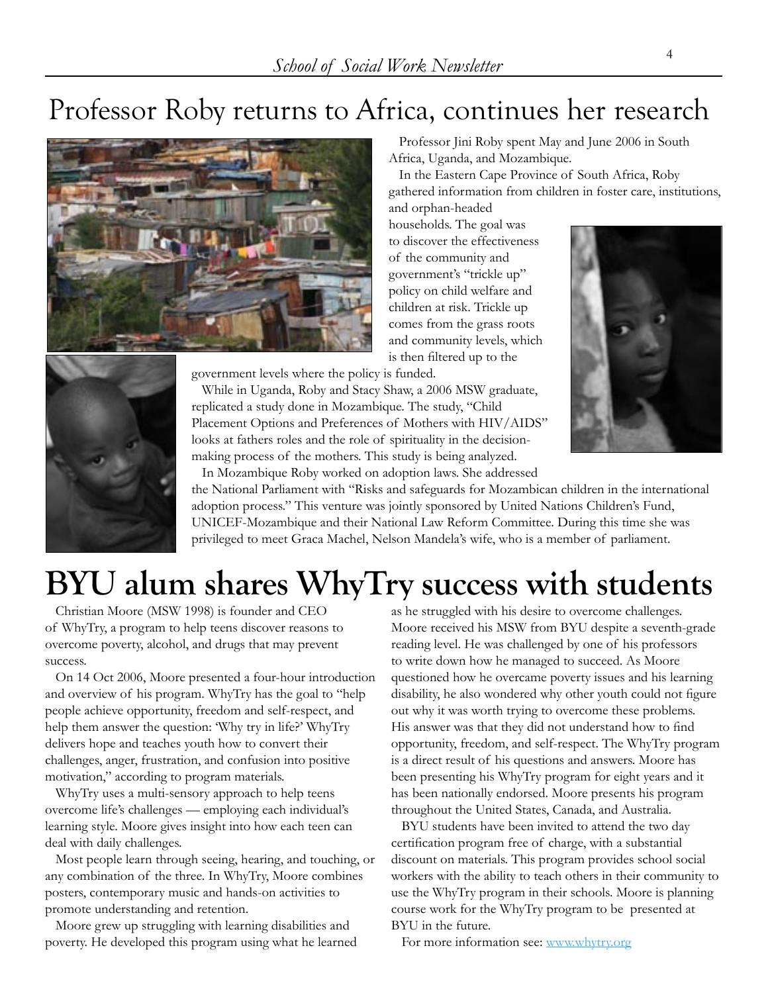## Professor Roby returns to Africa, continues her research



 Professor Jini Roby spent May and June 2006 in South Africa, Uganda, and Mozambique.

 In the Eastern Cape Province of South Africa, Roby gathered information from children in foster care, institutions,

and orphan-headed households. The goal was to discover the effectiveness of the community and government's "trickle up" policy on child welfare and children at risk. Trickle up comes from the grass roots and community levels, which is then filtered up to the



government levels where the policy is funded.

 While in Uganda, Roby and Stacy Shaw, a 2006 MSW graduate, replicated a study done in Mozambique. The study, "Child Placement Options and Preferences of Mothers with HIV/AIDS" looks at fathers roles and the role of spirituality in the decisionmaking process of the mothers. This study is being analyzed.



In Mozambique Roby worked on adoption laws. She addressed

the National Parliament with "Risks and safeguards for Mozambican children in the international adoption process." This venture was jointly sponsored by United Nations Children's Fund, UNICEF-Mozambique and their National Law Reform Committee. During this time she was privileged to meet Graca Machel, Nelson Mandela's wife, who is a member of parliament.

# **BYU alum shares WhyTry success with students**

 Christian Moore (MSW 1998) is founder and CEO of WhyTry, a program to help teens discover reasons to overcome poverty, alcohol, and drugs that may prevent success.

 On 14 Oct 2006, Moore presented a four-hour introduction and overview of his program. WhyTry has the goal to "help people achieve opportunity, freedom and self-respect, and help them answer the question: 'Why try in life?' WhyTry delivers hope and teaches youth how to convert their challenges, anger, frustration, and confusion into positive motivation," according to program materials.

 WhyTry uses a multi-sensory approach to help teens overcome life's challenges — employing each individual's learning style. Moore gives insight into how each teen can deal with daily challenges.

 Most people learn through seeing, hearing, and touching, or any combination of the three. In WhyTry, Moore combines posters, contemporary music and hands-on activities to promote understanding and retention.

 Moore grew up struggling with learning disabilities and poverty. He developed this program using what he learned as he struggled with his desire to overcome challenges. Moore received his MSW from BYU despite a seventh-grade reading level. He was challenged by one of his professors to write down how he managed to succeed. As Moore questioned how he overcame poverty issues and his learning disability, he also wondered why other youth could not figure out why it was worth trying to overcome these problems. His answer was that they did not understand how to find opportunity, freedom, and self-respect. The WhyTry program is a direct result of his questions and answers. Moore has been presenting his WhyTry program for eight years and it has been nationally endorsed. Moore presents his program throughout the United States, Canada, and Australia.

 BYU students have been invited to attend the two day certification program free of charge, with a substantial discount on materials. This program provides school social workers with the ability to teach others in their community to use the WhyTry program in their schools. Moore is planning course work for the WhyTry program to be presented at BYU in the future.

For more information see: [www.whytry.org](http://www.whytry.org)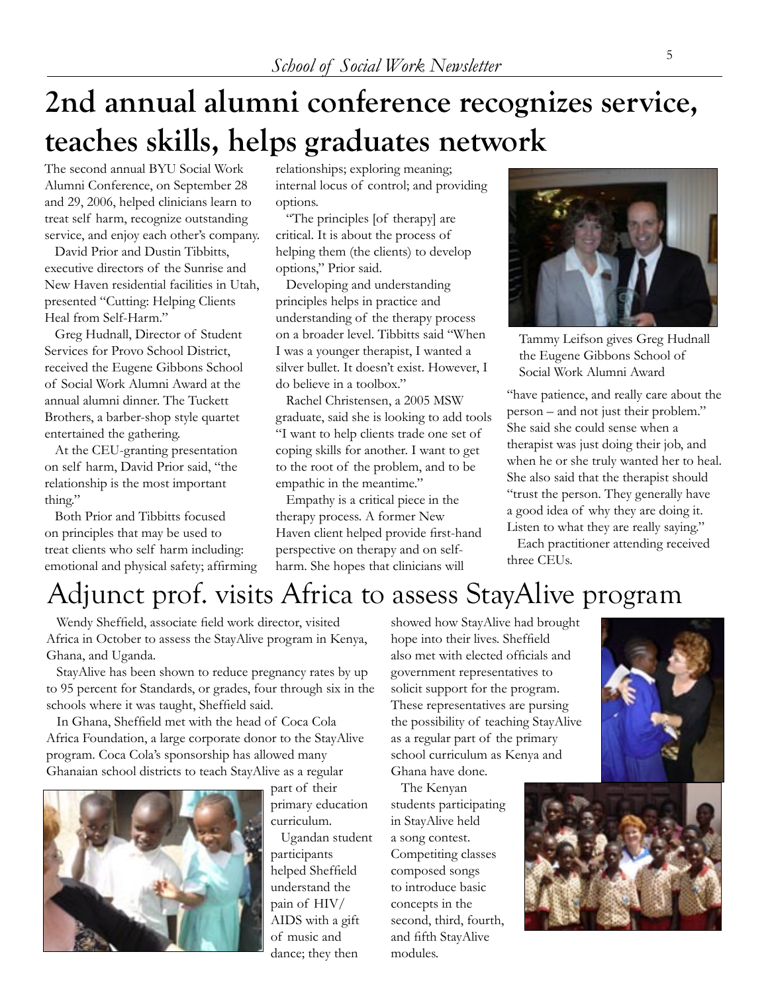# **2nd annual alumni conference recognizes service, teaches skills, helps graduates network**

The second annual BYU Social Work Alumni Conference, on September 28 and 29, 2006, helped clinicians learn to treat self harm, recognize outstanding service, and enjoy each other's company.

 David Prior and Dustin Tibbitts, executive directors of the Sunrise and New Haven residential facilities in Utah, presented "Cutting: Helping Clients Heal from Self-Harm."

 Greg Hudnall, Director of Student Services for Provo School District, received the Eugene Gibbons School of Social Work Alumni Award at the annual alumni dinner. The Tuckett Brothers, a barber-shop style quartet entertained the gathering.

 At the CEU-granting presentation on self harm, David Prior said, "the relationship is the most important thing."

 Both Prior and Tibbitts focused on principles that may be used to treat clients who self harm including: emotional and physical safety; affirming relationships; exploring meaning; internal locus of control; and providing options.

 "The principles [of therapy] are critical. It is about the process of helping them (the clients) to develop options," Prior said.

 Developing and understanding principles helps in practice and understanding of the therapy process on a broader level. Tibbitts said "When I was a younger therapist, I wanted a silver bullet. It doesn't exist. However, I do believe in a toolbox."

 Rachel Christensen, a 2005 MSW graduate, said she is looking to add tools "I want to help clients trade one set of coping skills for another. I want to get to the root of the problem, and to be empathic in the meantime."

 Empathy is a critical piece in the therapy process. A former New Haven client helped provide first-hand perspective on therapy and on selfharm. She hopes that clinicians will



Tammy Leifson gives Greg Hudnall the Eugene Gibbons School of Social Work Alumni Award

"have patience, and really care about the person – and not just their problem." She said she could sense when a therapist was just doing their job, and when he or she truly wanted her to heal. She also said that the therapist should "trust the person. They generally have a good idea of why they are doing it. Listen to what they are really saying."

 Each practitioner attending received three CEUs.

## Adjunct prof. visits Africa to assess StayAlive program

 Wendy Sheffield, associate field work director, visited Africa in October to assess the StayAlive program in Kenya, Ghana, and Uganda.

 StayAlive has been shown to reduce pregnancy rates by up to 95 percent for Standards, or grades, four through six in the schools where it was taught, Sheffield said.

 In Ghana, Sheffield met with the head of Coca Cola Africa Foundation, a large corporate donor to the StayAlive program. Coca Cola's sponsorship has allowed many Ghanaian school districts to teach StayAlive as a regular



part of their primary education curriculum.

 Ugandan student participants helped Sheffield understand the pain of HIV/ AIDS with a gift of music and dance; they then

showed how StayAlive had brought hope into their lives. Sheffield also met with elected officials and government representatives to solicit support for the program. These representatives are pursing the possibility of teaching StayAlive as a regular part of the primary school curriculum as Kenya and Ghana have done.

 The Kenyan students participating in StayAlive held a song contest. Competiting classes composed songs to introduce basic concepts in the second, third, fourth, and fifth StayAlive modules.



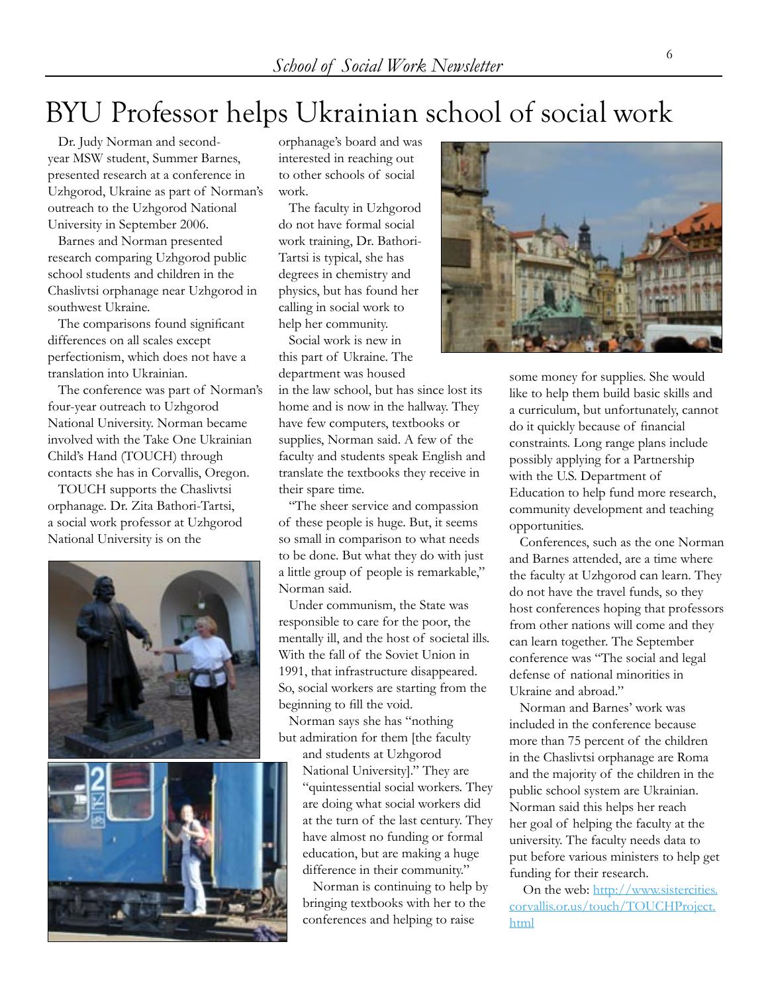## BYU Professor helps Ukrainian school of social work

 Dr. Judy Norman and secondyear MSW student, Summer Barnes, presented research at a conference in Uzhgorod, Ukraine as part of Norman's outreach to the Uzhgorod National University in September 2006.

 Barnes and Norman presented research comparing Uzhgorod public school students and children in the Chaslivtsi orphanage near Uzhgorod in southwest Ukraine.

 The comparisons found significant differences on all scales except perfectionism, which does not have a translation into Ukrainian.

 The conference was part of Norman's four-year outreach to Uzhgorod National University. Norman became involved with the Take One Ukrainian Child's Hand (TOUCH) through contacts she has in Corvallis, Oregon.

 TOUCH supports the Chaslivtsi orphanage. Dr. Zita Bathori-Tartsi, a social work professor at Uzhgorod National University is on the



orphanage's board and was interested in reaching out to other schools of social work.

 The faculty in Uzhgorod do not have formal social work training, Dr. Bathori-Tartsi is typical, she has degrees in chemistry and physics, but has found her calling in social work to help her community.

 Social work is new in this part of Ukraine. The department was housed

in the law school, but has since lost its home and is now in the hallway. They have few computers, textbooks or supplies, Norman said. A few of the faculty and students speak English and translate the textbooks they receive in their spare time.

 "The sheer service and compassion of these people is huge. But, it seems so small in comparison to what needs to be done. But what they do with just a little group of people is remarkable," Norman said.

 Under communism, the State was responsible to care for the poor, the mentally ill, and the host of societal ills. With the fall of the Soviet Union in 1991, that infrastructure disappeared. So, social workers are starting from the beginning to fill the void.

 Norman says she has "nothing but admiration for them [the faculty

> and students at Uzhgorod National University]." They are "quintessential social workers. They are doing what social workers did at the turn of the last century. They have almost no funding or formal education, but are making a huge difference in their community."

 Norman is continuing to help by bringing textbooks with her to the conferences and helping to raise



some money for supplies. She would like to help them build basic skills and a curriculum, but unfortunately, cannot do it quickly because of financial constraints. Long range plans include possibly applying for a Partnership with the U.S. Department of Education to help fund more research, community development and teaching opportunities.

 Conferences, such as the one Norman and Barnes attended, are a time where the faculty at Uzhgorod can learn. They do not have the travel funds, so they host conferences hoping that professors from other nations will come and they can learn together. The September conference was "The social and legal defense of national minorities in Ukraine and abroad."

 Norman and Barnes' work was included in the conference because more than 75 percent of the children in the Chaslivtsi orphanage are Roma and the majority of the children in the public school system are Ukrainian. Norman said this helps her reach her goal of helping the faculty at the university. The faculty needs data to put before various ministers to help get funding for their research.

On the web: [http://www.sistercities.](http://www.sistercities.corvallis.or.us/touch/TOUCHProject.html) [corvallis.or.us/touch/TOUCHProject.](http://www.sistercities.corvallis.or.us/touch/TOUCHProject.html) [html](http://www.sistercities.corvallis.or.us/touch/TOUCHProject.html)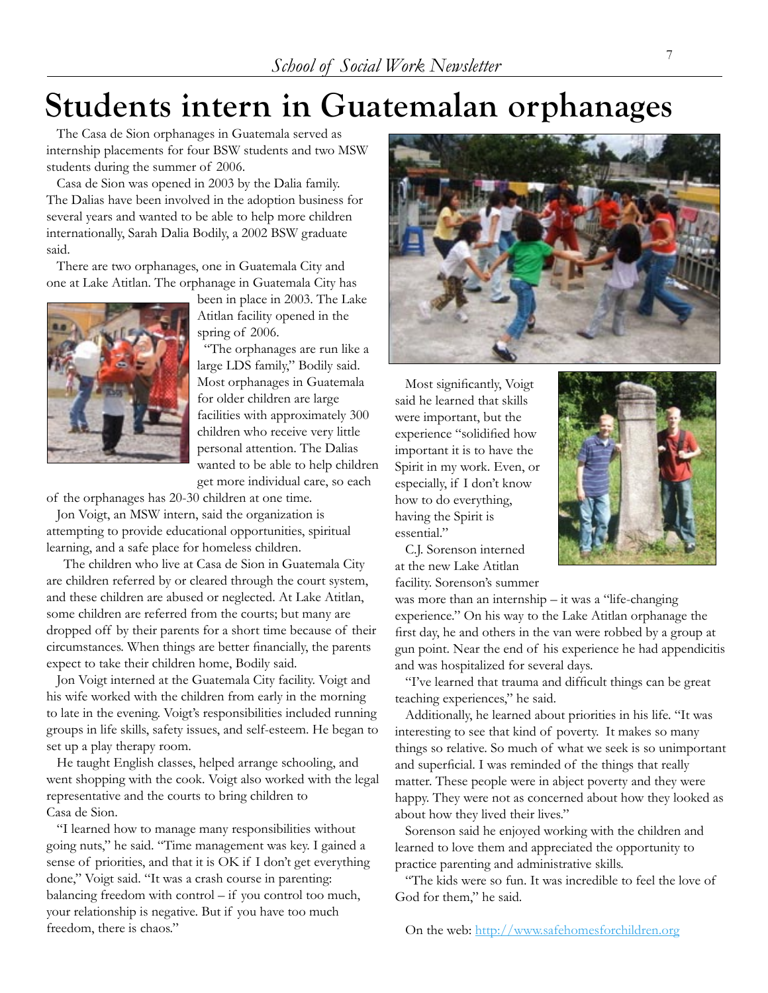# **Students intern in Guatemalan orphanages**

 The Casa de Sion orphanages in Guatemala served as internship placements for four BSW students and two MSW students during the summer of 2006.

 Casa de Sion was opened in 2003 by the Dalia family. The Dalias have been involved in the adoption business for several years and wanted to be able to help more children internationally, Sarah Dalia Bodily, a 2002 BSW graduate said.

 There are two orphanages, one in Guatemala City and one at Lake Atitlan. The orphanage in Guatemala City has



been in place in 2003. The Lake Atitlan facility opened in the spring of 2006.

 "The orphanages are run like a large LDS family," Bodily said. Most orphanages in Guatemala for older children are large facilities with approximately 300 children who receive very little personal attention. The Dalias wanted to be able to help children get more individual care, so each

of the orphanages has 20-30 children at one time.

 Jon Voigt, an MSW intern, said the organization is attempting to provide educational opportunities, spiritual learning, and a safe place for homeless children.

 The children who live at Casa de Sion in Guatemala City are children referred by or cleared through the court system, and these children are abused or neglected. At Lake Atitlan, some children are referred from the courts; but many are dropped off by their parents for a short time because of their circumstances. When things are better financially, the parents expect to take their children home, Bodily said.

 Jon Voigt interned at the Guatemala City facility. Voigt and his wife worked with the children from early in the morning to late in the evening. Voigt's responsibilities included running groups in life skills, safety issues, and self-esteem. He began to set up a play therapy room.

 He taught English classes, helped arrange schooling, and went shopping with the cook. Voigt also worked with the legal representative and the courts to bring children to Casa de Sion.

 "I learned how to manage many responsibilities without going nuts," he said. "Time management was key. I gained a sense of priorities, and that it is OK if I don't get everything done," Voigt said. "It was a crash course in parenting: balancing freedom with control – if you control too much, your relationship is negative. But if you have too much freedom, there is chaos."



 Most significantly, Voigt said he learned that skills were important, but the experience "solidified how important it is to have the Spirit in my work. Even, or especially, if I don't know how to do everything, having the Spirit is essential."



 C.J. Sorenson interned at the new Lake Atitlan facility. Sorenson's summer

was more than an internship – it was a "life-changing experience." On his way to the Lake Atitlan orphanage the first day, he and others in the van were robbed by a group at gun point. Near the end of his experience he had appendicitis and was hospitalized for several days.

 "I've learned that trauma and difficult things can be great teaching experiences," he said.

 Additionally, he learned about priorities in his life. "It was interesting to see that kind of poverty. It makes so many things so relative. So much of what we seek is so unimportant and superficial. I was reminded of the things that really matter. These people were in abject poverty and they were happy. They were not as concerned about how they looked as about how they lived their lives."

 Sorenson said he enjoyed working with the children and learned to love them and appreciated the opportunity to practice parenting and administrative skills.

 "The kids were so fun. It was incredible to feel the love of God for them," he said.

On the web: <http://www.safehomesforchildren.org>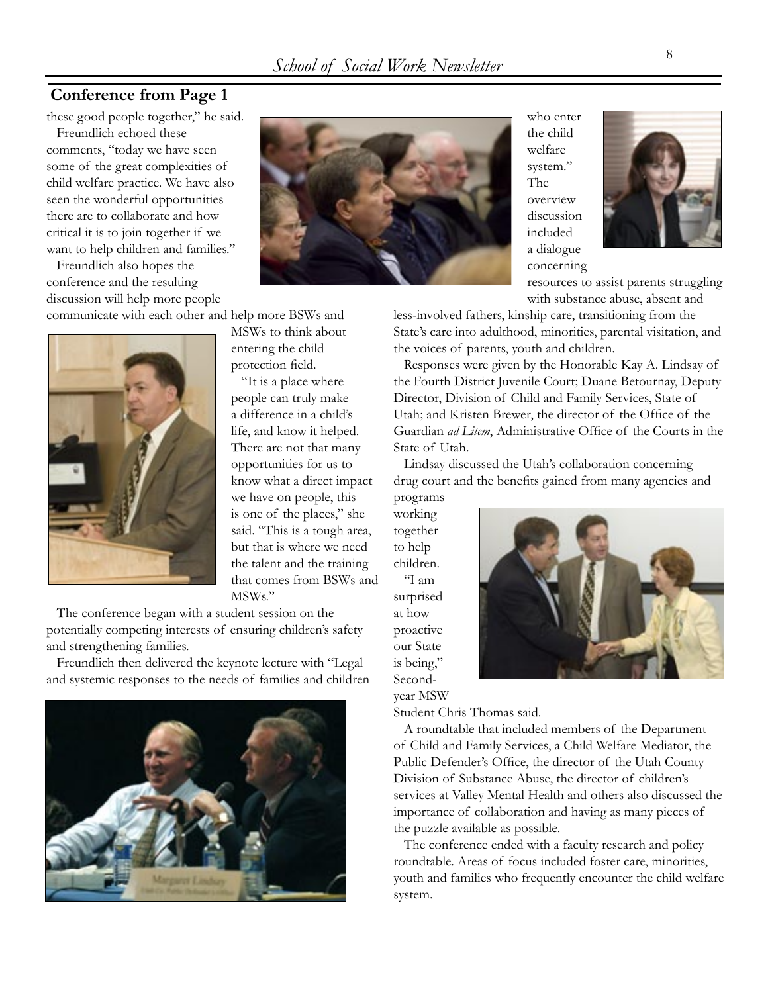#### **Conference from Page 1**

these good people together," he said.

 Freundlich echoed these comments, "today we have seen some of the great complexities of child welfare practice. We have also seen the wonderful opportunities there are to collaborate and how critical it is to join together if we want to help children and families."

 Freundlich also hopes the conference and the resulting discussion will help more people

communicate with each other and help more BSWs and



MSWs to think about entering the child protection field.

 "It is a place where people can truly make a difference in a child's life, and know it helped. There are not that many opportunities for us to know what a direct impact we have on people, this is one of the places," she said. "This is a tough area, but that is where we need the talent and the training that comes from BSWs and MSWs."

 The conference began with a student session on the potentially competing interests of ensuring children's safety and strengthening families.

 Freundlich then delivered the keynote lecture with "Legal and systemic responses to the needs of families and children





who enter the child welfare system." The overview discussion included a dialogue concerning



resources to assist parents struggling with substance abuse, absent and

less-involved fathers, kinship care, transitioning from the State's care into adulthood, minorities, parental visitation, and the voices of parents, youth and children.

 Responses were given by the Honorable Kay A. Lindsay of the Fourth District Juvenile Court; Duane Betournay, Deputy Director, Division of Child and Family Services, State of Utah; and Kristen Brewer, the director of the Office of the Guardian *ad Litem*, Administrative Office of the Courts in the State of Utah.

 Lindsay discussed the Utah's collaboration concerning drug court and the benefits gained from many agencies and

programs working together to help children. "I am surprised at how proactive our State is being," Secondyear MSW



Student Chris Thomas said.

 A roundtable that included members of the Department of Child and Family Services, a Child Welfare Mediator, the Public Defender's Office, the director of the Utah County Division of Substance Abuse, the director of children's services at Valley Mental Health and others also discussed the importance of collaboration and having as many pieces of the puzzle available as possible.

 The conference ended with a faculty research and policy roundtable. Areas of focus included foster care, minorities, youth and families who frequently encounter the child welfare system.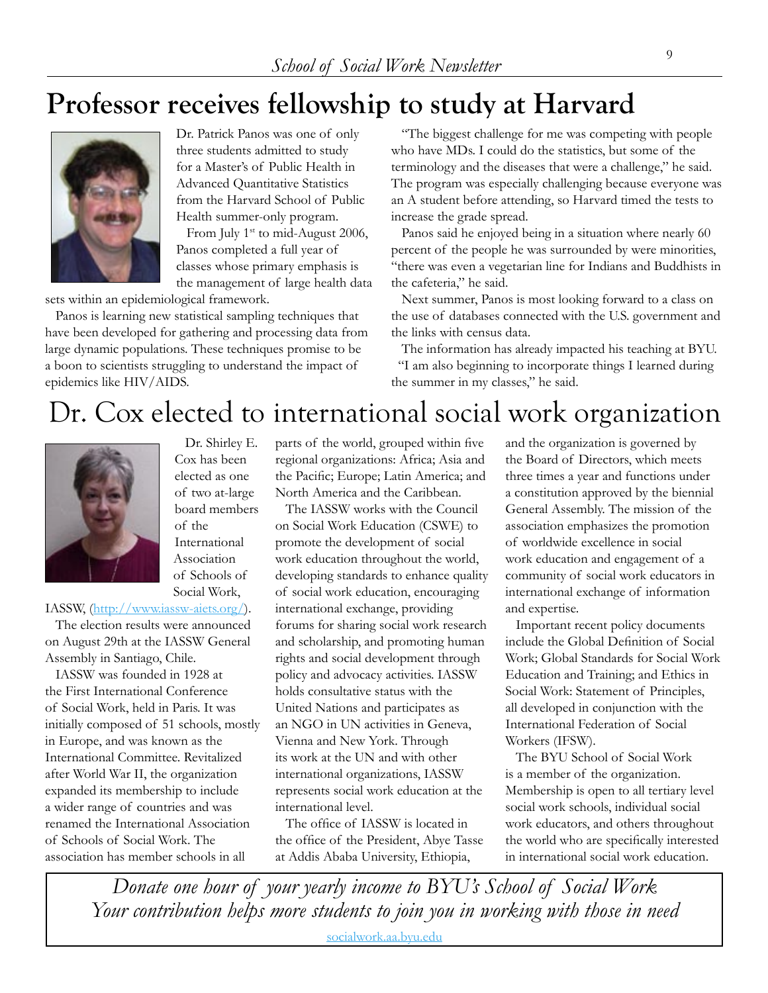### **Professor receives fellowship to study at Harvard**



Dr. Patrick Panos was one of only three students admitted to study for a Master's of Public Health in Advanced Quantitative Statistics from the Harvard School of Public Health summer-only program.

From July 1<sup>st</sup> to mid-August 2006, Panos completed a full year of classes whose primary emphasis is the management of large health data

sets within an epidemiological framework.

 Panos is learning new statistical sampling techniques that have been developed for gathering and processing data from large dynamic populations. These techniques promise to be a boon to scientists struggling to understand the impact of epidemics like HIV/AIDS.

 "The biggest challenge for me was competing with people who have MDs. I could do the statistics, but some of the terminology and the diseases that were a challenge," he said. The program was especially challenging because everyone was an A student before attending, so Harvard timed the tests to increase the grade spread.

 Panos said he enjoyed being in a situation where nearly 60 percent of the people he was surrounded by were minorities, "there was even a vegetarian line for Indians and Buddhists in the cafeteria," he said.

 Next summer, Panos is most looking forward to a class on the use of databases connected with the U.S. government and the links with census data.

 The information has already impacted his teaching at BYU. "I am also beginning to incorporate things I learned during the summer in my classes," he said.

### Dr. Cox elected to international social work organization



 Dr. Shirley E. Cox has been elected as one of two at-large board members of the International Association of Schools of Social Work,

#### IASSW, [\(http://www.iassw-aiets.org/\)](http://www.iassw-aiets.org/).

 The election results were announced on August 29th at the IASSW General Assembly in Santiago, Chile.

 IASSW was founded in 1928 at the First International Conference of Social Work, held in Paris. It was initially composed of 51 schools, mostly in Europe, and was known as the International Committee. Revitalized after World War II, the organization expanded its membership to include a wider range of countries and was renamed the International Association of Schools of Social Work. The association has member schools in all

parts of the world, grouped within five regional organizations: Africa; Asia and the Pacific; Europe; Latin America; and North America and the Caribbean.

 The IASSW works with the Council on Social Work Education (CSWE) to promote the development of social work education throughout the world, developing standards to enhance quality of social work education, encouraging international exchange, providing forums for sharing social work research and scholarship, and promoting human rights and social development through policy and advocacy activities. IASSW holds consultative status with the United Nations and participates as an NGO in UN activities in Geneva, Vienna and New York. Through its work at the UN and with other international organizations, IASSW represents social work education at the international level.

 The office of IASSW is located in the office of the President, Abye Tasse at Addis Ababa University, Ethiopia,

and the organization is governed by the Board of Directors, which meets three times a year and functions under a constitution approved by the biennial General Assembly. The mission of the association emphasizes the promotion of worldwide excellence in social work education and engagement of a community of social work educators in international exchange of information and expertise.

 Important recent policy documents include the Global Definition of Social Work; Global Standards for Social Work Education and Training; and Ethics in Social Work: Statement of Principles, all developed in conjunction with the International Federation of Social Workers (IFSW).

 The BYU School of Social Work is a member of the organization. Membership is open to all tertiary level social work schools, individual social work educators, and others throughout the world who are specifically interested in international social work education.

*Donate one hour of your yearly income to BYU's School of Social Work Your contribution helps more students to join you in working with those in need*

[socialwork.aa.byu.edu](http://alumni.byu.edu/Sections/Chapters/chaphome4.cfm?ChpID=413)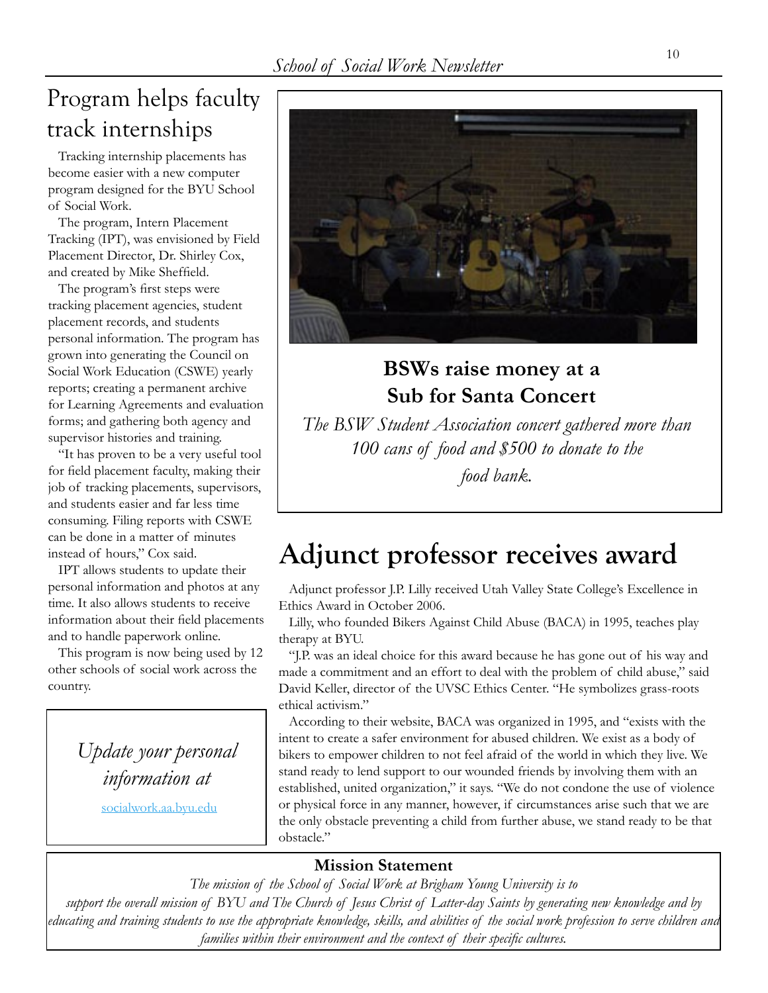### Program helps faculty track internships

 Tracking internship placements has become easier with a new computer program designed for the BYU School of Social Work.

 The program, Intern Placement Tracking (IPT), was envisioned by Field Placement Director, Dr. Shirley Cox, and created by Mike Sheffield.

 The program's first steps were tracking placement agencies, student placement records, and students personal information. The program has grown into generating the Council on Social Work Education (CSWE) yearly reports; creating a permanent archive for Learning Agreements and evaluation forms; and gathering both agency and supervisor histories and training.

 "It has proven to be a very useful tool for field placement faculty, making their job of tracking placements, supervisors, and students easier and far less time consuming. Filing reports with CSWE can be done in a matter of minutes instead of hours," Cox said.

 IPT allows students to update their personal information and photos at any time. It also allows students to receive information about their field placements and to handle paperwork online.

 This program is now being used by 12 other schools of social work across the country.

> *Update your personal information at*

> > [socialwork.aa.byu.edu](http://alumni.byu.edu/Sections/Chapters/chaphome4.cfm?ChpID=413)



#### **BSWs raise money at a Sub for Santa Concert**

*The BSW Student Association concert gathered more than 100 cans of food and \$500 to donate to the food bank.*

### **Adjunct professor receives award**

 Adjunct professor J.P. Lilly received Utah Valley State College's Excellence in Ethics Award in October 2006.

 Lilly, who founded Bikers Against Child Abuse (BACA) in 1995, teaches play therapy at BYU.

 "J.P. was an ideal choice for this award because he has gone out of his way and made a commitment and an effort to deal with the problem of child abuse," said David Keller, director of the UVSC Ethics Center. "He symbolizes grass-roots ethical activism."

 According to their website, BACA was organized in 1995, and "exists with the intent to create a safer environment for abused children. We exist as a body of bikers to empower children to not feel afraid of the world in which they live. We stand ready to lend support to our wounded friends by involving them with an established, united organization," it says. "We do not condone the use of violence or physical force in any manner, however, if circumstances arise such that we are the only obstacle preventing a child from further abuse, we stand ready to be that obstacle."

#### **Mission Statement**

*The mission of the School of Social Work at Brigham Young University is to* 

*support the overall mission of BYU and The Church of Jesus Christ of Latter-day Saints by generating new knowledge and by educating and training students to use the appropriate knowledge, skills, and abilities of the social work profession to serve children and families within their environment and the context of their specific cultures.*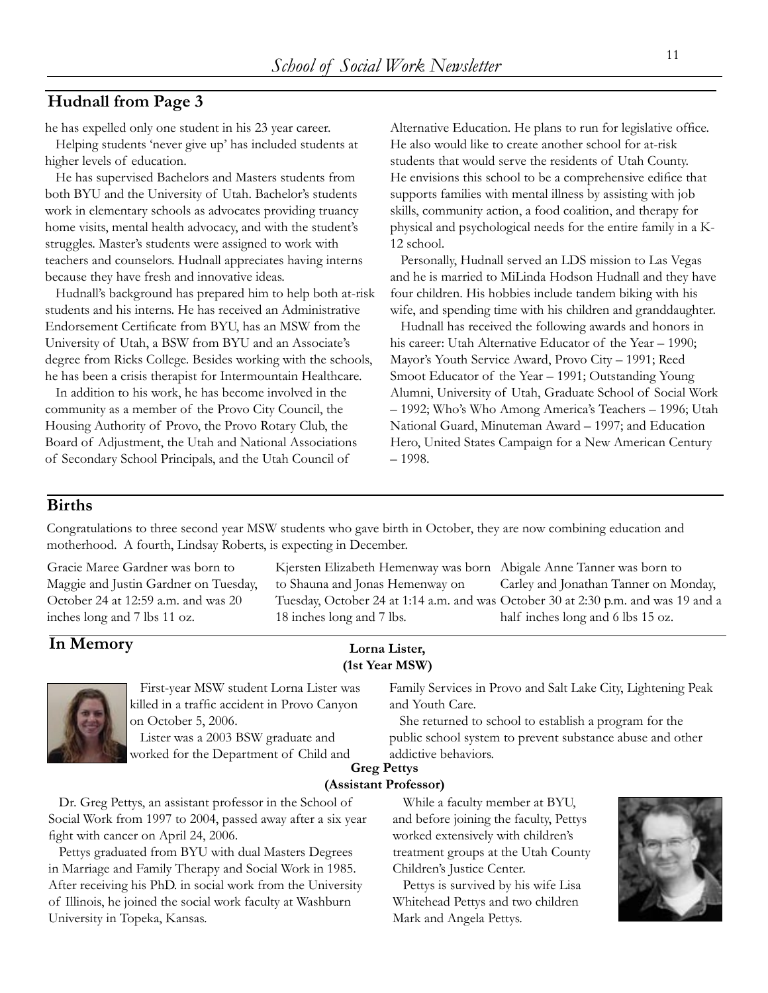#### **Hudnall from Page 3**

he has expelled only one student in his 23 year career.

 Helping students 'never give up' has included students at higher levels of education.

 He has supervised Bachelors and Masters students from both BYU and the University of Utah. Bachelor's students work in elementary schools as advocates providing truancy home visits, mental health advocacy, and with the student's struggles. Master's students were assigned to work with teachers and counselors. Hudnall appreciates having interns because they have fresh and innovative ideas.

 Hudnall's background has prepared him to help both at-risk students and his interns. He has received an Administrative Endorsement Certificate from BYU, has an MSW from the University of Utah, a BSW from BYU and an Associate's degree from Ricks College. Besides working with the schools, he has been a crisis therapist for Intermountain Healthcare.

 In addition to his work, he has become involved in the community as a member of the Provo City Council, the Housing Authority of Provo, the Provo Rotary Club, the Board of Adjustment, the Utah and National Associations of Secondary School Principals, and the Utah Council of

Alternative Education. He plans to run for legislative office. He also would like to create another school for at-risk students that would serve the residents of Utah County. He envisions this school to be a comprehensive edifice that supports families with mental illness by assisting with job skills, community action, a food coalition, and therapy for physical and psychological needs for the entire family in a K-12 school.

 Personally, Hudnall served an LDS mission to Las Vegas and he is married to MiLinda Hodson Hudnall and they have four children. His hobbies include tandem biking with his wife, and spending time with his children and granddaughter.

 Hudnall has received the following awards and honors in his career: Utah Alternative Educator of the Year – 1990; Mayor's Youth Service Award, Provo City – 1991; Reed Smoot Educator of the Year – 1991; Outstanding Young Alumni, University of Utah, Graduate School of Social Work – 1992; Who's Who Among America's Teachers – 1996; Utah National Guard, Minuteman Award – 1997; and Education Hero, United States Campaign for a New American Century – 1998.

#### **Births**

Congratulations to three second year MSW students who gave birth in October, they are now combining education and motherhood. A fourth, Lindsay Roberts, is expecting in December.

Gracie Maree Gardner was born to Maggie and Justin Gardner on Tuesday, October 24 at 12:59 a.m. and was 20 inches long and 7 lbs 11 oz.

Kjersten Elizabeth Hemenway was born Abigale Anne Tanner was born to to Shauna and Jonas Hemenway on Tuesday, October 24 at 1:14 a.m. and was October 30 at 2:30 p.m. and was 19 and a 18 inches long and 7 lbs. Carley and Jonathan Tanner on Monday, half inches long and 6 lbs 15 oz.

#### **In Memory**

#### **Lorna Lister, (1st Year MSW)**



 First-year MSW student Lorna Lister was killed in a traffic accident in Provo Canyon on October 5, 2006.

 Lister was a 2003 BSW graduate and worked for the Department of Child and Family Services in Provo and Salt Lake City, Lightening Peak and Youth Care.

 She returned to school to establish a program for the public school system to prevent substance abuse and other addictive behaviors.

#### **Greg Pettys (Assistant Professor)**

 Dr. Greg Pettys, an assistant professor in the School of Social Work from 1997 to 2004, passed away after a six year fight with cancer on April 24, 2006.

 Pettys graduated from BYU with dual Masters Degrees in Marriage and Family Therapy and Social Work in 1985. After receiving his PhD. in social work from the University of Illinois, he joined the social work faculty at Washburn University in Topeka, Kansas.

 While a faculty member at BYU, and before joining the faculty, Pettys worked extensively with children's treatment groups at the Utah County Children's Justice Center.

 Pettys is survived by his wife Lisa Whitehead Pettys and two children Mark and Angela Pettys.